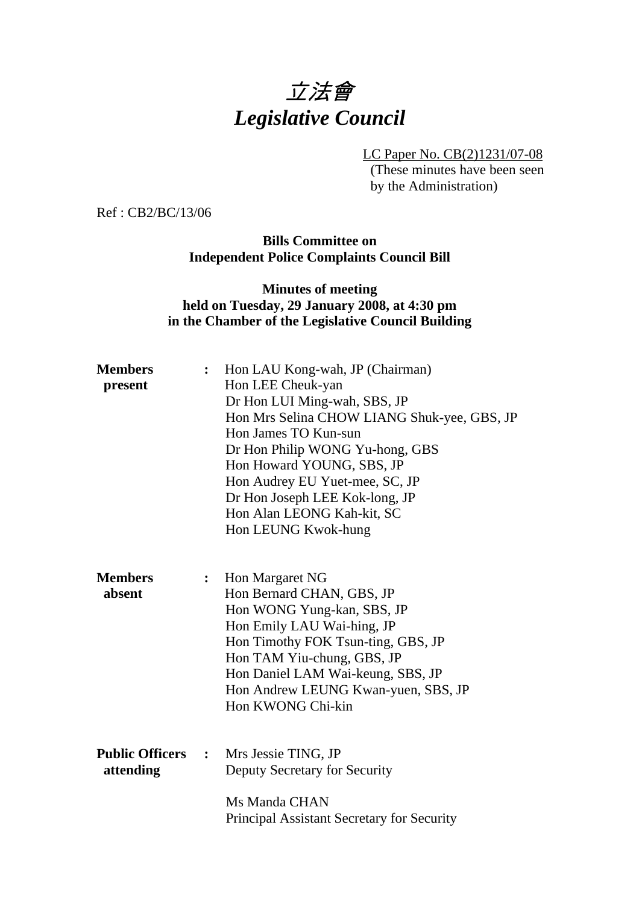# 立法會 *Legislative Council*

LC Paper No. CB(2)1231/07-08

(These minutes have been seen by the Administration)

Ref : CB2/BC/13/06

**Bills Committee on Independent Police Complaints Council Bill** 

### **Minutes of meeting held on Tuesday, 29 January 2008, at 4:30 pm in the Chamber of the Legislative Council Building**

| <b>Members</b><br>present             | $\ddot{\cdot}$     | Hon LAU Kong-wah, JP (Chairman)<br>Hon LEE Cheuk-yan<br>Dr Hon LUI Ming-wah, SBS, JP<br>Hon Mrs Selina CHOW LIANG Shuk-yee, GBS, JP<br>Hon James TO Kun-sun<br>Dr Hon Philip WONG Yu-hong, GBS<br>Hon Howard YOUNG, SBS, JP<br>Hon Audrey EU Yuet-mee, SC, JP<br>Dr Hon Joseph LEE Kok-long, JP<br>Hon Alan LEONG Kah-kit, SC<br>Hon LEUNG Kwok-hung |
|---------------------------------------|--------------------|------------------------------------------------------------------------------------------------------------------------------------------------------------------------------------------------------------------------------------------------------------------------------------------------------------------------------------------------------|
| <b>Members</b><br>absent              | : $\hfill \bullet$ | Hon Margaret NG<br>Hon Bernard CHAN, GBS, JP<br>Hon WONG Yung-kan, SBS, JP<br>Hon Emily LAU Wai-hing, JP<br>Hon Timothy FOK Tsun-ting, GBS, JP<br>Hon TAM Yiu-chung, GBS, JP<br>Hon Daniel LAM Wai-keung, SBS, JP<br>Hon Andrew LEUNG Kwan-yuen, SBS, JP<br>Hon KWONG Chi-kin                                                                        |
| <b>Public Officers :</b><br>attending |                    | Mrs Jessie TING, JP<br>Deputy Secretary for Security<br>Ms Manda CHAN<br>Principal Assistant Secretary for Security                                                                                                                                                                                                                                  |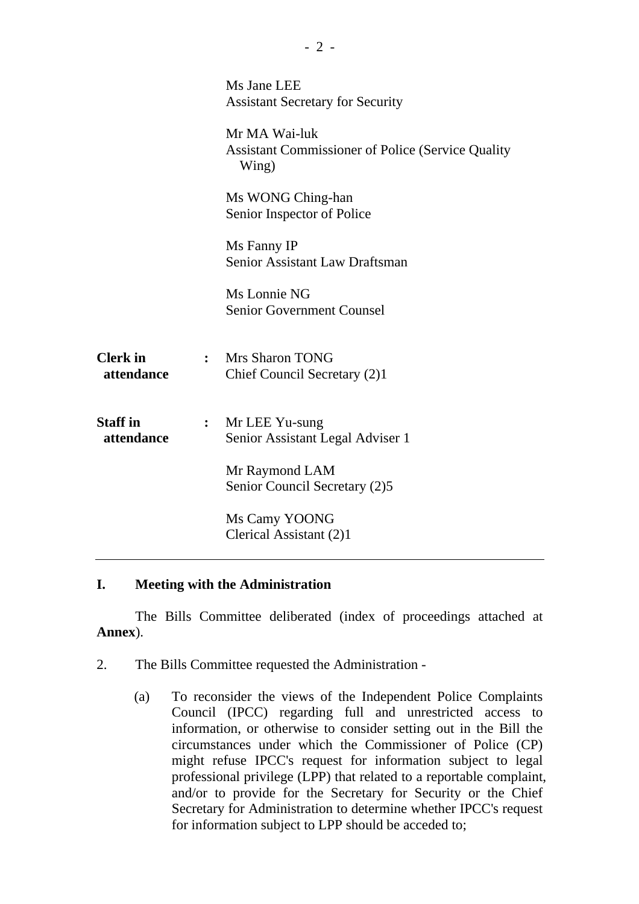|                               |                | Ms Jane LEE<br><b>Assistant Secretary for Security</b>                             |
|-------------------------------|----------------|------------------------------------------------------------------------------------|
|                               |                | Mr MA Wai-luk<br><b>Assistant Commissioner of Police (Service Quality</b><br>Wing) |
|                               |                | Ms WONG Ching-han<br>Senior Inspector of Police                                    |
|                               |                | Ms Fanny IP<br><b>Senior Assistant Law Draftsman</b>                               |
|                               |                | Ms Lonnie NG<br><b>Senior Government Counsel</b>                                   |
| <b>Clerk</b> in<br>attendance | $\ddot{\cdot}$ | <b>Mrs Sharon TONG</b><br>Chief Council Secretary (2)1                             |
| <b>Staff</b> in<br>attendance | :              | Mr LEE Yu-sung<br>Senior Assistant Legal Adviser 1                                 |
|                               |                | Mr Raymond LAM<br>Senior Council Secretary (2)5                                    |
|                               |                | Ms Camy YOONG<br>Clerical Assistant (2)1                                           |

## **I. Meeting with the Administration**

1. The Bills Committee deliberated (index of proceedings attached at **Annex**).

- 2. The Bills Committee requested the Administration
	- (a) To reconsider the views of the Independent Police Complaints Council (IPCC) regarding full and unrestricted access to information, or otherwise to consider setting out in the Bill the circumstances under which the Commissioner of Police (CP) might refuse IPCC's request for information subject to legal professional privilege (LPP) that related to a reportable complaint, and/or to provide for the Secretary for Security or the Chief Secretary for Administration to determine whether IPCC's request for information subject to LPP should be acceded to;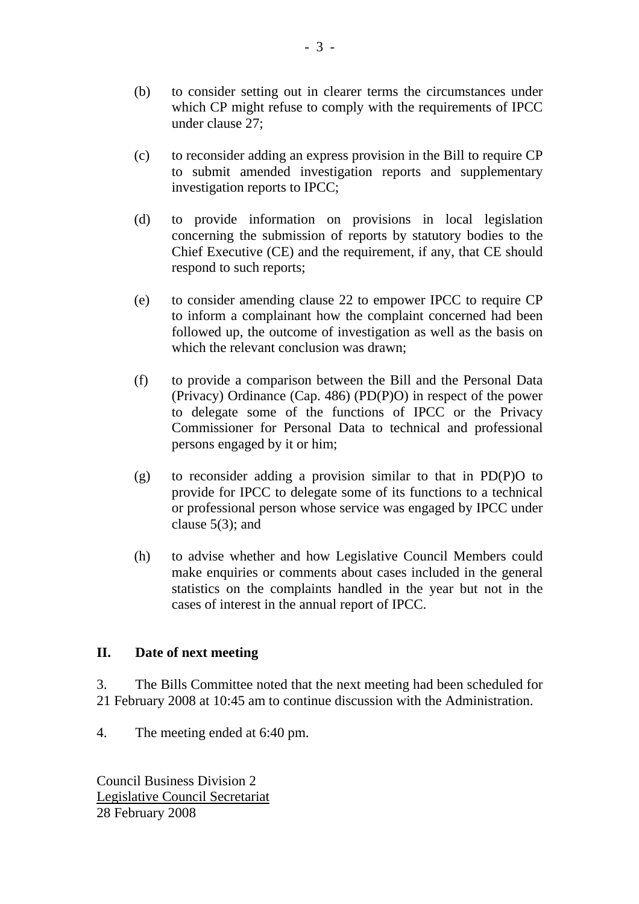- (b) to consider setting out in clearer terms the circumstances under which CP might refuse to comply with the requirements of IPCC under clause 27;
- (c) to reconsider adding an express provision in the Bill to require CP to submit amended investigation reports and supplementary investigation reports to IPCC;
- (d) to provide information on provisions in local legislation concerning the submission of reports by statutory bodies to the Chief Executive (CE) and the requirement, if any, that CE should respond to such reports;
- (e) to consider amending clause 22 to empower IPCC to require CP to inform a complainant how the complaint concerned had been followed up, the outcome of investigation as well as the basis on which the relevant conclusion was drawn:
- (f) to provide a comparison between the Bill and the Personal Data (Privacy) Ordinance (Cap. 486) (PD(P)O) in respect of the power to delegate some of the functions of IPCC or the Privacy Commissioner for Personal Data to technical and professional persons engaged by it or him;
- (g) to reconsider adding a provision similar to that in PD(P)O to provide for IPCC to delegate some of its functions to a technical or professional person whose service was engaged by IPCC under clause 5(3); and
- (h) to advise whether and how Legislative Council Members could make enquiries or comments about cases included in the general statistics on the complaints handled in the year but not in the cases of interest in the annual report of IPCC.

## **II. Date of next meeting**

3. The Bills Committee noted that the next meeting had been scheduled for 21 February 2008 at 10:45 am to continue discussion with the Administration.

4. The meeting ended at 6:40 pm.

Council Business Division 2 Legislative Council Secretariat 28 February 2008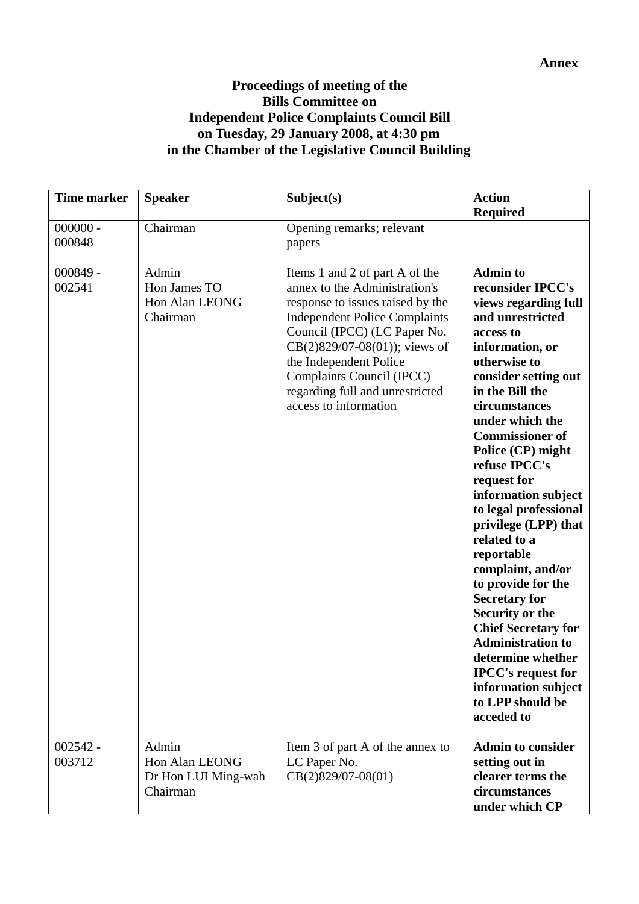# **Proceedings of meeting of the Bills Committee on Independent Police Complaints Council Bill on Tuesday, 29 January 2008, at 4:30 pm in the Chamber of the Legislative Council Building**

| <b>Time marker</b>   | <b>Speaker</b>                                             | Subject(s)                                                                                                                                                                                                                                                                                                                        | <b>Action</b><br><b>Required</b>                                                                                                                                                                                                                                                                                                                                                                                                                                                                                                                                                                                                                                       |
|----------------------|------------------------------------------------------------|-----------------------------------------------------------------------------------------------------------------------------------------------------------------------------------------------------------------------------------------------------------------------------------------------------------------------------------|------------------------------------------------------------------------------------------------------------------------------------------------------------------------------------------------------------------------------------------------------------------------------------------------------------------------------------------------------------------------------------------------------------------------------------------------------------------------------------------------------------------------------------------------------------------------------------------------------------------------------------------------------------------------|
| $000000 -$<br>000848 | Chairman                                                   | Opening remarks; relevant<br>papers                                                                                                                                                                                                                                                                                               |                                                                                                                                                                                                                                                                                                                                                                                                                                                                                                                                                                                                                                                                        |
| $000849 -$<br>002541 | Admin<br>Hon James TO<br>Hon Alan LEONG<br>Chairman        | Items 1 and 2 of part A of the<br>annex to the Administration's<br>response to issues raised by the<br><b>Independent Police Complaints</b><br>Council (IPCC) (LC Paper No.<br>$CB(2)829/07-08(01)$ ; views of<br>the Independent Police<br>Complaints Council (IPCC)<br>regarding full and unrestricted<br>access to information | <b>Admin to</b><br>reconsider IPCC's<br>views regarding full<br>and unrestricted<br>access to<br>information, or<br>otherwise to<br>consider setting out<br>in the Bill the<br>circumstances<br>under which the<br><b>Commissioner of</b><br>Police (CP) might<br>refuse IPCC's<br>request for<br>information subject<br>to legal professional<br>privilege (LPP) that<br>related to a<br>reportable<br>complaint, and/or<br>to provide for the<br><b>Secretary for</b><br><b>Security or the</b><br><b>Chief Secretary for</b><br><b>Administration to</b><br>determine whether<br><b>IPCC's request for</b><br>information subject<br>to LPP should be<br>acceded to |
| $002542 -$<br>003712 | Admin<br>Hon Alan LEONG<br>Dr Hon LUI Ming-wah<br>Chairman | Item 3 of part A of the annex to<br>LC Paper No.<br>$CB(2)829/07-08(01)$                                                                                                                                                                                                                                                          | <b>Admin to consider</b><br>setting out in<br>clearer terms the<br>circumstances<br>under which CP                                                                                                                                                                                                                                                                                                                                                                                                                                                                                                                                                                     |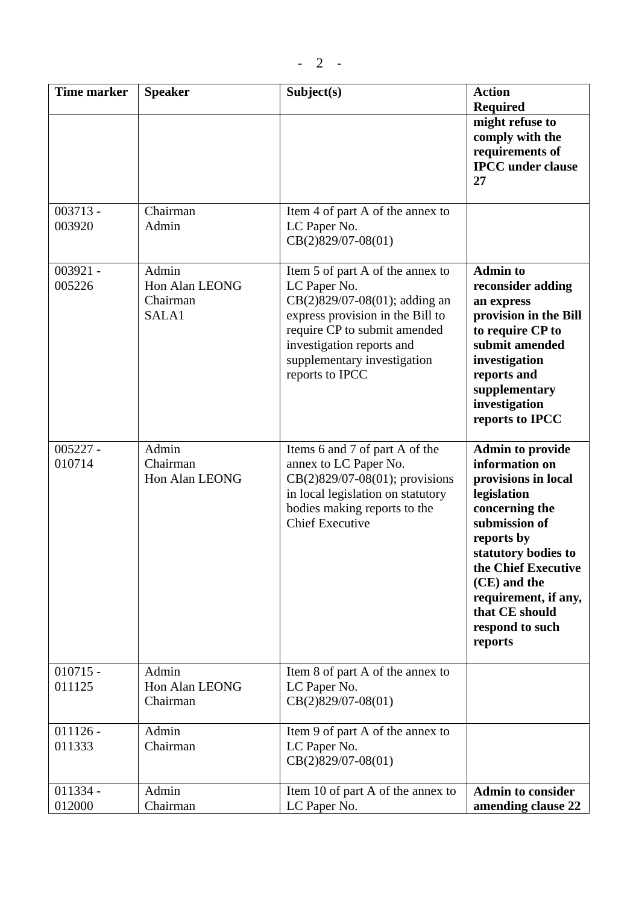| <b>Time marker</b>   | <b>Speaker</b>                               | Subject(s)                                                                                                                                                                                                                           | <b>Action</b>                                                                                                                                                                                                                                                          |
|----------------------|----------------------------------------------|--------------------------------------------------------------------------------------------------------------------------------------------------------------------------------------------------------------------------------------|------------------------------------------------------------------------------------------------------------------------------------------------------------------------------------------------------------------------------------------------------------------------|
|                      |                                              |                                                                                                                                                                                                                                      | <b>Required</b><br>might refuse to<br>comply with the<br>requirements of<br><b>IPCC</b> under clause<br>27                                                                                                                                                             |
| $003713 -$<br>003920 | Chairman<br>Admin                            | Item 4 of part A of the annex to<br>LC Paper No.<br>$CB(2)829/07-08(01)$                                                                                                                                                             |                                                                                                                                                                                                                                                                        |
| $003921 -$<br>005226 | Admin<br>Hon Alan LEONG<br>Chairman<br>SALA1 | Item 5 of part A of the annex to<br>LC Paper No.<br>CB(2)829/07-08(01); adding an<br>express provision in the Bill to<br>require CP to submit amended<br>investigation reports and<br>supplementary investigation<br>reports to IPCC | <b>Admin to</b><br>reconsider adding<br>an express<br>provision in the Bill<br>to require CP to<br>submit amended<br>investigation<br>reports and<br>supplementary<br>investigation<br>reports to IPCC                                                                 |
| $005227 -$<br>010714 | Admin<br>Chairman<br>Hon Alan LEONG          | Items 6 and 7 of part A of the<br>annex to LC Paper No.<br>$CB(2)829/07-08(01)$ ; provisions<br>in local legislation on statutory<br>bodies making reports to the<br><b>Chief Executive</b>                                          | <b>Admin to provide</b><br>information on<br>provisions in local<br>legislation<br>concerning the<br>submission of<br>reports by<br>statutory bodies to<br>the Chief Executive<br>(CE) and the<br>requirement, if any,<br>that CE should<br>respond to such<br>reports |
| $010715 -$<br>011125 | Admin<br>Hon Alan LEONG<br>Chairman          | Item 8 of part A of the annex to<br>LC Paper No.<br>$CB(2)829/07-08(01)$                                                                                                                                                             |                                                                                                                                                                                                                                                                        |
| $011126 -$<br>011333 | Admin<br>Chairman                            | Item 9 of part A of the annex to<br>LC Paper No.<br>$CB(2)829/07-08(01)$                                                                                                                                                             |                                                                                                                                                                                                                                                                        |
| $011334 -$<br>012000 | Admin<br>Chairman                            | Item 10 of part A of the annex to<br>LC Paper No.                                                                                                                                                                                    | <b>Admin to consider</b><br>amending clause 22                                                                                                                                                                                                                         |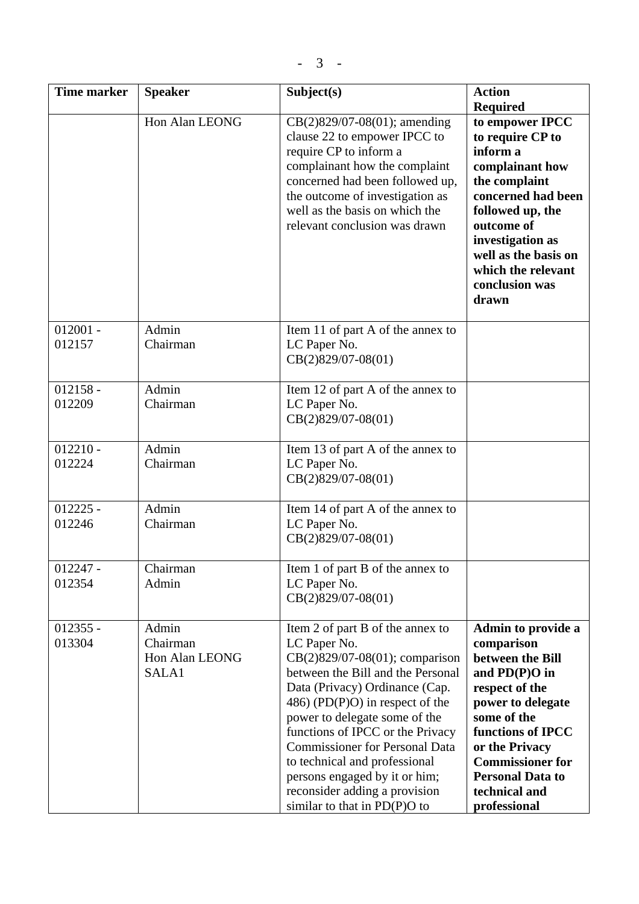| <b>Time marker</b>   | <b>Speaker</b>                               | Subject(s)                                                                                                                                                                                                                                                                                                                                                                                                                                         | <b>Action</b>                                                                                                                                                                                                                                               |
|----------------------|----------------------------------------------|----------------------------------------------------------------------------------------------------------------------------------------------------------------------------------------------------------------------------------------------------------------------------------------------------------------------------------------------------------------------------------------------------------------------------------------------------|-------------------------------------------------------------------------------------------------------------------------------------------------------------------------------------------------------------------------------------------------------------|
|                      | Hon Alan LEONG                               | $CB(2)829/07-08(01)$ ; amending<br>clause 22 to empower IPCC to<br>require CP to inform a<br>complainant how the complaint<br>concerned had been followed up,<br>the outcome of investigation as<br>well as the basis on which the<br>relevant conclusion was drawn                                                                                                                                                                                | <b>Required</b><br>to empower IPCC<br>to require CP to<br>inform a<br>complainant how<br>the complaint<br>concerned had been<br>followed up, the<br>outcome of<br>investigation as<br>well as the basis on<br>which the relevant<br>conclusion was<br>drawn |
| $012001 -$<br>012157 | Admin<br>Chairman                            | Item 11 of part A of the annex to<br>LC Paper No.<br>$CB(2)829/07-08(01)$                                                                                                                                                                                                                                                                                                                                                                          |                                                                                                                                                                                                                                                             |
| $012158 -$<br>012209 | Admin<br>Chairman                            | Item 12 of part A of the annex to<br>LC Paper No.<br>$CB(2)829/07-08(01)$                                                                                                                                                                                                                                                                                                                                                                          |                                                                                                                                                                                                                                                             |
| $012210 -$<br>012224 | Admin<br>Chairman                            | Item 13 of part A of the annex to<br>LC Paper No.<br>$CB(2)829/07-08(01)$                                                                                                                                                                                                                                                                                                                                                                          |                                                                                                                                                                                                                                                             |
| $012225 -$<br>012246 | Admin<br>Chairman                            | Item 14 of part A of the annex to<br>LC Paper No.<br>$CB(2)829/07-08(01)$                                                                                                                                                                                                                                                                                                                                                                          |                                                                                                                                                                                                                                                             |
| $012247 -$<br>012354 | Chairman<br>Admin                            | Item 1 of part B of the annex to<br>LC Paper No.<br>$CB(2)829/07-08(01)$                                                                                                                                                                                                                                                                                                                                                                           |                                                                                                                                                                                                                                                             |
| $012355 -$<br>013304 | Admin<br>Chairman<br>Hon Alan LEONG<br>SALA1 | Item 2 of part B of the annex to<br>LC Paper No.<br>CB(2)829/07-08(01); comparison<br>between the Bill and the Personal<br>Data (Privacy) Ordinance (Cap.<br>$(486) (PD(P)O)$ in respect of the<br>power to delegate some of the<br>functions of IPCC or the Privacy<br><b>Commissioner for Personal Data</b><br>to technical and professional<br>persons engaged by it or him;<br>reconsider adding a provision<br>similar to that in $PD(P)O$ to | Admin to provide a<br>comparison<br>between the Bill<br>and $PD(P)O$ in<br>respect of the<br>power to delegate<br>some of the<br>functions of IPCC<br>or the Privacy<br><b>Commissioner for</b><br><b>Personal Data to</b><br>technical and<br>professional |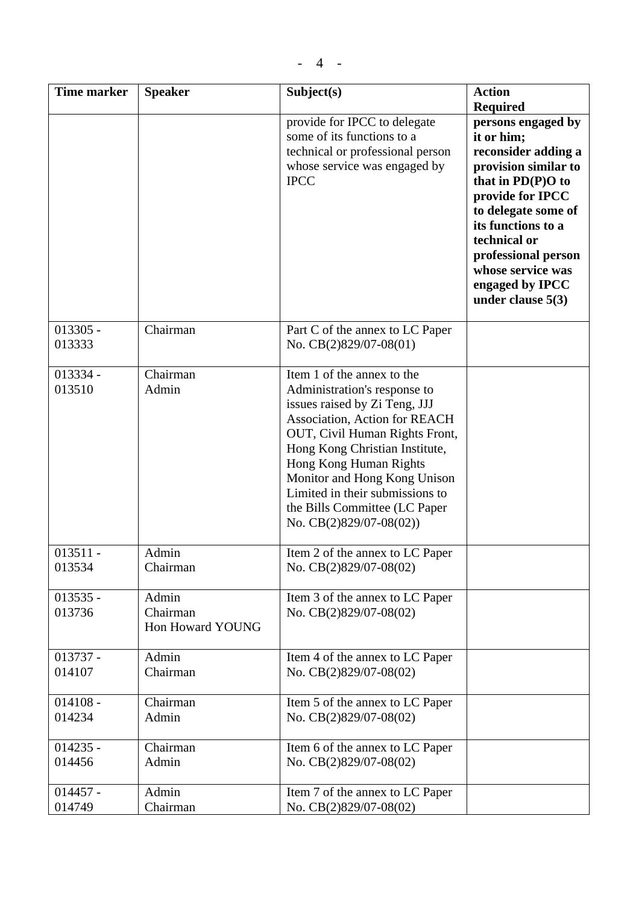| <b>Time marker</b>   | <b>Speaker</b>                        | Subject(s)                                                                                                                                                                                                                                                                                                                                                        | <b>Action</b>                                                                                                                                                                                                                                                               |
|----------------------|---------------------------------------|-------------------------------------------------------------------------------------------------------------------------------------------------------------------------------------------------------------------------------------------------------------------------------------------------------------------------------------------------------------------|-----------------------------------------------------------------------------------------------------------------------------------------------------------------------------------------------------------------------------------------------------------------------------|
|                      |                                       |                                                                                                                                                                                                                                                                                                                                                                   | <b>Required</b>                                                                                                                                                                                                                                                             |
|                      |                                       | provide for IPCC to delegate<br>some of its functions to a<br>technical or professional person<br>whose service was engaged by<br><b>IPCC</b>                                                                                                                                                                                                                     | persons engaged by<br>it or him;<br>reconsider adding a<br>provision similar to<br>that in PD(P)O to<br>provide for IPCC<br>to delegate some of<br>its functions to a<br>technical or<br>professional person<br>whose service was<br>engaged by IPCC<br>under clause $5(3)$ |
| $013305 -$<br>013333 | Chairman                              | Part C of the annex to LC Paper<br>No. CB(2)829/07-08(01)                                                                                                                                                                                                                                                                                                         |                                                                                                                                                                                                                                                                             |
| $013334 -$<br>013510 | Chairman<br>Admin                     | Item 1 of the annex to the<br>Administration's response to<br>issues raised by Zi Teng, JJJ<br><b>Association, Action for REACH</b><br>OUT, Civil Human Rights Front,<br>Hong Kong Christian Institute,<br>Hong Kong Human Rights<br>Monitor and Hong Kong Unison<br>Limited in their submissions to<br>the Bills Committee (LC Paper<br>No. $CB(2)829/07-08(02)$ |                                                                                                                                                                                                                                                                             |
| $013511 -$<br>013534 | Admin<br>Chairman                     | Item 2 of the annex to LC Paper<br>No. CB(2)829/07-08(02)                                                                                                                                                                                                                                                                                                         |                                                                                                                                                                                                                                                                             |
| $013535 -$<br>013736 | Admin<br>Chairman<br>Hon Howard YOUNG | Item 3 of the annex to LC Paper<br>No. CB(2)829/07-08(02)                                                                                                                                                                                                                                                                                                         |                                                                                                                                                                                                                                                                             |
| $013737 -$<br>014107 | Admin<br>Chairman                     | Item 4 of the annex to LC Paper<br>No. CB(2)829/07-08(02)                                                                                                                                                                                                                                                                                                         |                                                                                                                                                                                                                                                                             |
| $014108 -$<br>014234 | Chairman<br>Admin                     | Item 5 of the annex to LC Paper<br>No. CB(2)829/07-08(02)                                                                                                                                                                                                                                                                                                         |                                                                                                                                                                                                                                                                             |
| $014235 -$<br>014456 | Chairman<br>Admin                     | Item 6 of the annex to LC Paper<br>No. CB(2)829/07-08(02)                                                                                                                                                                                                                                                                                                         |                                                                                                                                                                                                                                                                             |
| $014457 -$<br>014749 | Admin<br>Chairman                     | Item 7 of the annex to LC Paper<br>No. CB(2)829/07-08(02)                                                                                                                                                                                                                                                                                                         |                                                                                                                                                                                                                                                                             |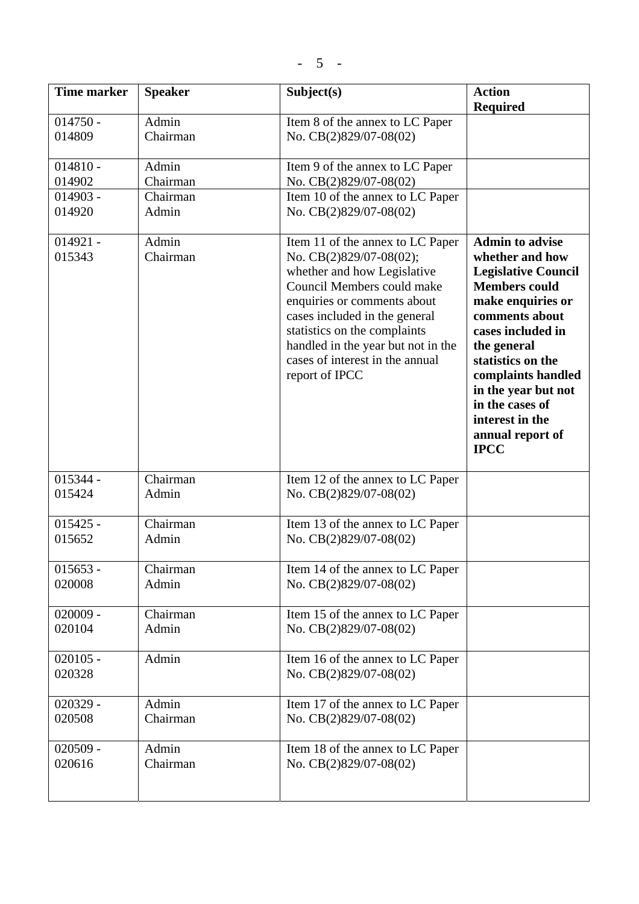| <b>Time marker</b>   | <b>Speaker</b>    | Subject(s)                                                                                                                                                                                                                                                                                                          | <b>Action</b><br><b>Required</b>                                                                                                                                                                                                                                                                                      |
|----------------------|-------------------|---------------------------------------------------------------------------------------------------------------------------------------------------------------------------------------------------------------------------------------------------------------------------------------------------------------------|-----------------------------------------------------------------------------------------------------------------------------------------------------------------------------------------------------------------------------------------------------------------------------------------------------------------------|
| $014750 -$           | Admin             | Item 8 of the annex to LC Paper                                                                                                                                                                                                                                                                                     |                                                                                                                                                                                                                                                                                                                       |
| 014809               | Chairman          | No. CB(2)829/07-08(02)                                                                                                                                                                                                                                                                                              |                                                                                                                                                                                                                                                                                                                       |
| $014810 -$           | Admin             | Item 9 of the annex to LC Paper                                                                                                                                                                                                                                                                                     |                                                                                                                                                                                                                                                                                                                       |
| 014902               | Chairman          | No. CB(2)829/07-08(02)                                                                                                                                                                                                                                                                                              |                                                                                                                                                                                                                                                                                                                       |
| $014903 -$           | Chairman          | Item 10 of the annex to LC Paper                                                                                                                                                                                                                                                                                    |                                                                                                                                                                                                                                                                                                                       |
| 014920               | Admin             | No. CB(2)829/07-08(02)                                                                                                                                                                                                                                                                                              |                                                                                                                                                                                                                                                                                                                       |
| $014921 -$<br>015343 | Admin<br>Chairman | Item 11 of the annex to LC Paper<br>No. CB(2)829/07-08(02);<br>whether and how Legislative<br>Council Members could make<br>enquiries or comments about<br>cases included in the general<br>statistics on the complaints<br>handled in the year but not in the<br>cases of interest in the annual<br>report of IPCC | <b>Admin to advise</b><br>whether and how<br><b>Legislative Council</b><br><b>Members could</b><br>make enquiries or<br>comments about<br>cases included in<br>the general<br>statistics on the<br>complaints handled<br>in the year but not<br>in the cases of<br>interest in the<br>annual report of<br><b>IPCC</b> |
| $015344 -$<br>015424 | Chairman<br>Admin | Item 12 of the annex to LC Paper<br>No. CB(2)829/07-08(02)                                                                                                                                                                                                                                                          |                                                                                                                                                                                                                                                                                                                       |
| $015425 -$<br>015652 | Chairman<br>Admin | Item 13 of the annex to LC Paper<br>No. CB(2)829/07-08(02)                                                                                                                                                                                                                                                          |                                                                                                                                                                                                                                                                                                                       |
| $015653 -$<br>020008 | Chairman<br>Admin | Item 14 of the annex to LC Paper<br>No. CB(2)829/07-08(02)                                                                                                                                                                                                                                                          |                                                                                                                                                                                                                                                                                                                       |
| $020009 -$<br>020104 | Chairman<br>Admin | Item 15 of the annex to LC Paper<br>No. CB(2)829/07-08(02)                                                                                                                                                                                                                                                          |                                                                                                                                                                                                                                                                                                                       |
| $020105 -$<br>020328 | Admin             | Item 16 of the annex to LC Paper<br>No. CB(2)829/07-08(02)                                                                                                                                                                                                                                                          |                                                                                                                                                                                                                                                                                                                       |
| $020329 -$<br>020508 | Admin<br>Chairman | Item 17 of the annex to LC Paper<br>No. CB(2)829/07-08(02)                                                                                                                                                                                                                                                          |                                                                                                                                                                                                                                                                                                                       |
| $020509 -$<br>020616 | Admin<br>Chairman | Item 18 of the annex to LC Paper<br>No. CB(2)829/07-08(02)                                                                                                                                                                                                                                                          |                                                                                                                                                                                                                                                                                                                       |